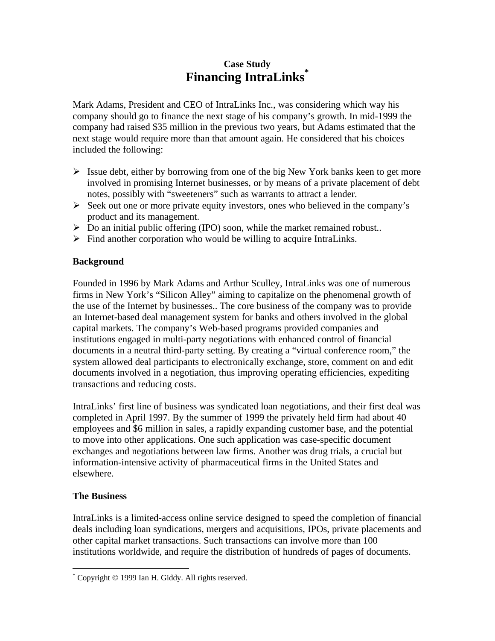## **Case Study Financing IntraLinks\***

Mark Adams, President and CEO of IntraLinks Inc., was considering which way his company should go to finance the next stage of his company's growth. In mid-1999 the company had raised \$35 million in the previous two years, but Adams estimated that the next stage would require more than that amount again. He considered that his choices included the following:

- $\triangleright$  Issue debt, either by borrowing from one of the big New York banks keen to get more involved in promising Internet businesses, or by means of a private placement of debt notes, possibly with "sweeteners" such as warrants to attract a lender.
- $\triangleright$  Seek out one or more private equity investors, ones who believed in the company's product and its management.
- $\triangleright$  Do an initial public offering (IPO) soon, while the market remained robust..
- $\triangleright$  Find another corporation who would be willing to acquire IntraLinks.

## **Background**

Founded in 1996 by Mark Adams and Arthur Sculley, IntraLinks was one of numerous firms in New York's "Silicon Alley" aiming to capitalize on the phenomenal growth of the use of the Internet by businesses.. The core business of the company was to provide an Internet-based deal management system for banks and others involved in the global capital markets. The company's Web-based programs provided companies and institutions engaged in multi-party negotiations with enhanced control of financial documents in a neutral third-party setting. By creating a "virtual conference room," the system allowed deal participants to electronically exchange, store, comment on and edit documents involved in a negotiation, thus improving operating efficiencies, expediting transactions and reducing costs.

IntraLinks' first line of business was syndicated loan negotiations, and their first deal was completed in April 1997. By the summer of 1999 the privately held firm had about 40 employees and \$6 million in sales, a rapidly expanding customer base, and the potential to move into other applications. One such application was case-specific document exchanges and negotiations between law firms. Another was drug trials, a crucial but information-intensive activity of pharmaceutical firms in the United States and elsewhere.

## **The Business**

IntraLinks is a limited-access online service designed to speed the completion of financial deals including loan syndications, mergers and acquisitions, IPOs, private placements and other capital market transactions. Such transactions can involve more than 100 institutions worldwide, and require the distribution of hundreds of pages of documents.

<sup>&</sup>lt;u>.</u> \* Copyright © 1999 Ian H. Giddy. All rights reserved.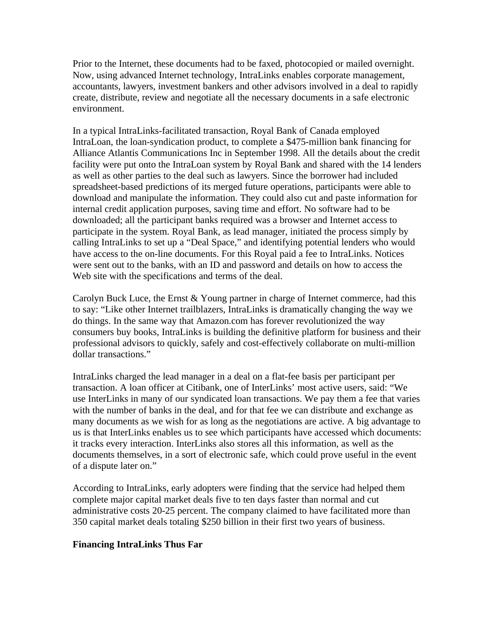Prior to the Internet, these documents had to be faxed, photocopied or mailed overnight. Now, using advanced Internet technology, IntraLinks enables corporate management, accountants, lawyers, investment bankers and other advisors involved in a deal to rapidly create, distribute, review and negotiate all the necessary documents in a safe electronic environment.

In a typical IntraLinks-facilitated transaction, Royal Bank of Canada employed IntraLoan, the loan-syndication product, to complete a \$475-million bank financing for Alliance Atlantis Communications Inc in September 1998. All the details about the credit facility were put onto the IntraLoan system by Royal Bank and shared with the 14 lenders as well as other parties to the deal such as lawyers. Since the borrower had included spreadsheet-based predictions of its merged future operations, participants were able to download and manipulate the information. They could also cut and paste information for internal credit application purposes, saving time and effort. No software had to be downloaded; all the participant banks required was a browser and Internet access to participate in the system. Royal Bank, as lead manager, initiated the process simply by calling IntraLinks to set up a "Deal Space," and identifying potential lenders who would have access to the on-line documents. For this Royal paid a fee to IntraLinks. Notices were sent out to the banks, with an ID and password and details on how to access the Web site with the specifications and terms of the deal.

Carolyn Buck Luce, the Ernst & Young partner in charge of Internet commerce, had this to say: "Like other Internet trailblazers, IntraLinks is dramatically changing the way we do things. In the same way that Amazon.com has forever revolutionized the way consumers buy books, IntraLinks is building the definitive platform for business and their professional advisors to quickly, safely and cost-effectively collaborate on multi-million dollar transactions."

IntraLinks charged the lead manager in a deal on a flat-fee basis per participant per transaction. A loan officer at Citibank, one of InterLinks' most active users, said: "We use InterLinks in many of our syndicated loan transactions. We pay them a fee that varies with the number of banks in the deal, and for that fee we can distribute and exchange as many documents as we wish for as long as the negotiations are active. A big advantage to us is that InterLinks enables us to see which participants have accessed which documents: it tracks every interaction. InterLinks also stores all this information, as well as the documents themselves, in a sort of electronic safe, which could prove useful in the event of a dispute later on."

According to IntraLinks, early adopters were finding that the service had helped them complete major capital market deals five to ten days faster than normal and cut administrative costs 20-25 percent. The company claimed to have facilitated more than 350 capital market deals totaling \$250 billion in their first two years of business.

## **Financing IntraLinks Thus Far**